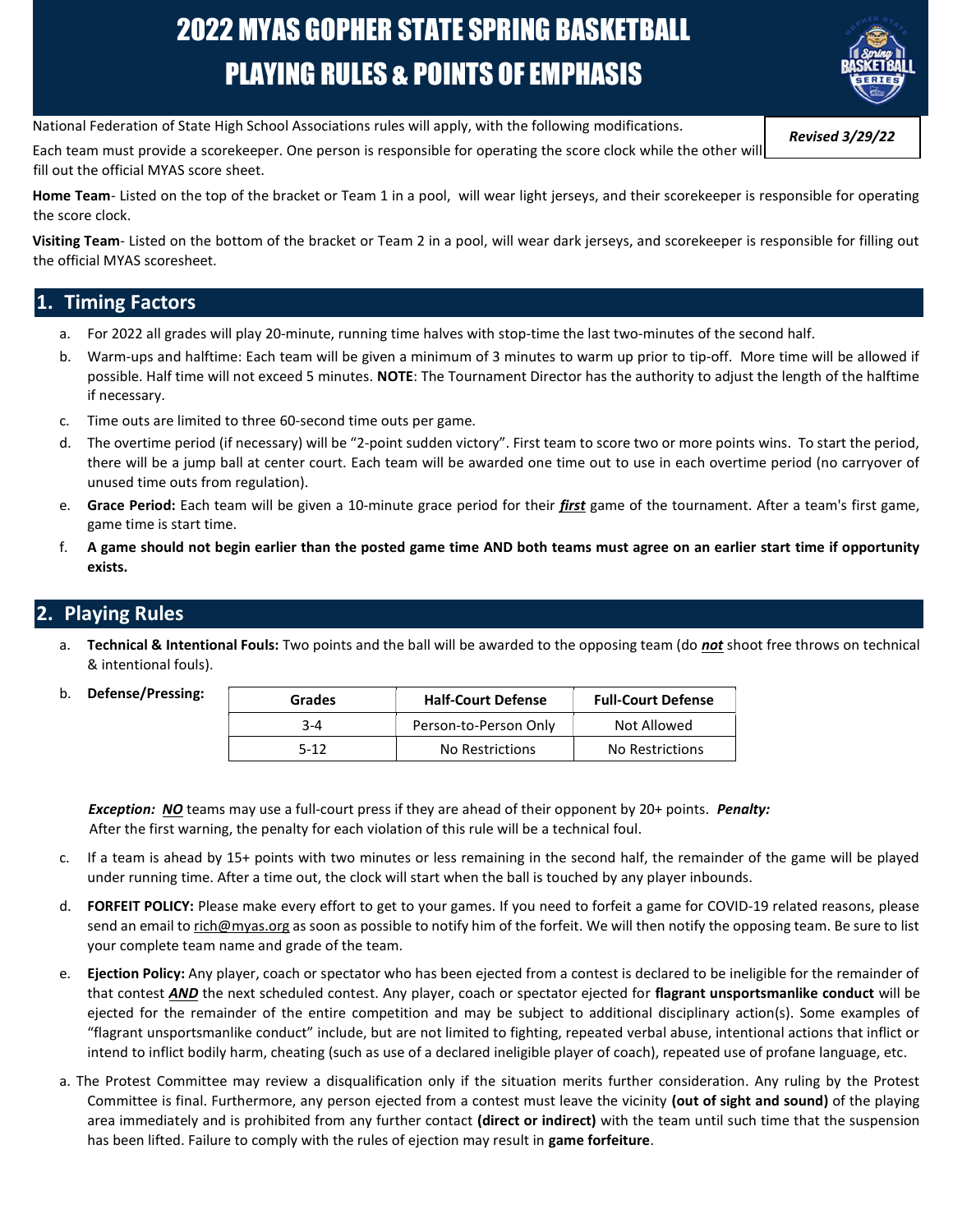# 2022 MYAS GOPHER STATE SPRING BASKETBALL PLAYING RULES & POINTS OF EMPHASIS



National Federation of State High School Associations rules will apply, with the following modifications.

Each team must provide a scorekeeper. One person is responsible for operating the score clock while the other will fill out the official MYAS score sheet.

Home Team- Listed on the top of the bracket or Team 1 in a pool, will wear light jerseys, and their scorekeeper is responsible for operating the score clock.

Visiting Team- Listed on the bottom of the bracket or Team 2 in a pool, will wear dark jerseys, and scorekeeper is responsible for filling out the official MYAS scoresheet.

## **Timing Factors**

- a. For 2022 all grades will play 20-minute, running time halves with stop-time the last two-minutes of the second half.
- b. Warm-ups and halftime: Each team will be given a minimum of 3 minutes to warm up prior to tip-off. More time will be allowed if possible. Half time will not exceed 5 minutes. NOTE: The Tournament Director has the authority to adjust the length of the halftime if necessary.
- c. Time outs are limited to three 60-second time outs per game.
- d. The overtime period (if necessary) will be "2-point sudden victory". First team to score two or more points wins. To start the period, there will be a jump ball at center court. Each team will be awarded one time out to use in each overtime period (no carryover of unused time outs from regulation).
- e. Grace Period: Each team will be given a 10-minute grace period for their first game of the tournament. After a team's first game, game time is start time.
- f. A game should not begin earlier than the posted game time AND both teams must agree on an earlier start time if opportunity exists.

## 2. Playing Rules

a. Technical & Intentional Fouls: Two points and the ball will be awarded to the opposing team (do not shoot free throws on technical & intentional fouls).

| Grades | <b>Half-Court Defense</b> | <b>Full-Court Defense</b> |
|--------|---------------------------|---------------------------|
| 3-4    | Person-to-Person Only     | Not Allowed               |
| $5-12$ | No Restrictions           | No Restrictions           |

**Exception: NO** teams may use a full-court press if they are ahead of their opponent by 20+ points. Penalty: After the first warning, the penalty for each violation of this rule will be a technical foul.

- c. If a team is ahead by 15+ points with two minutes or less remaining in the second half, the remainder of the game will be played under running time. After a time out, the clock will start when the ball is touched by any player inbounds.
- d. FORFEIT POLICY: Please make every effort to get to your games. If you need to forfeit a game for COVID-19 related reasons, please send an email to rich@myas.org as soon as possible to notify him of the forfeit. We will then notify the opposing team. Be sure to list your complete team name and grade of the team.
- e. Ejection Policy: Any player, coach or spectator who has been ejected from a contest is declared to be ineligible for the remainder of that contest **AND** the next scheduled contest. Any player, coach or spectator ejected for flagrant unsportsmanlike conduct will be ejected for the remainder of the entire competition and may be subject to additional disciplinary action(s). Some examples of "flagrant unsportsmanlike conduct" include, but are not limited to fighting, repeated verbal abuse, intentional actions that inflict or intend to inflict bodily harm, cheating (such as use of a declared ineligible player of coach), repeated use of profane language, etc.
- a. The Protest Committee may review a disqualification only if the situation merits further consideration. Any ruling by the Protest Committee is final. Furthermore, any person ejected from a contest must leave the vicinity (out of sight and sound) of the playing area immediately and is prohibited from any further contact (direct or indirect) with the team until such time that the suspension has been lifted. Failure to comply with the rules of ejection may result in **game forfeiture**.

Revised 3/29/22